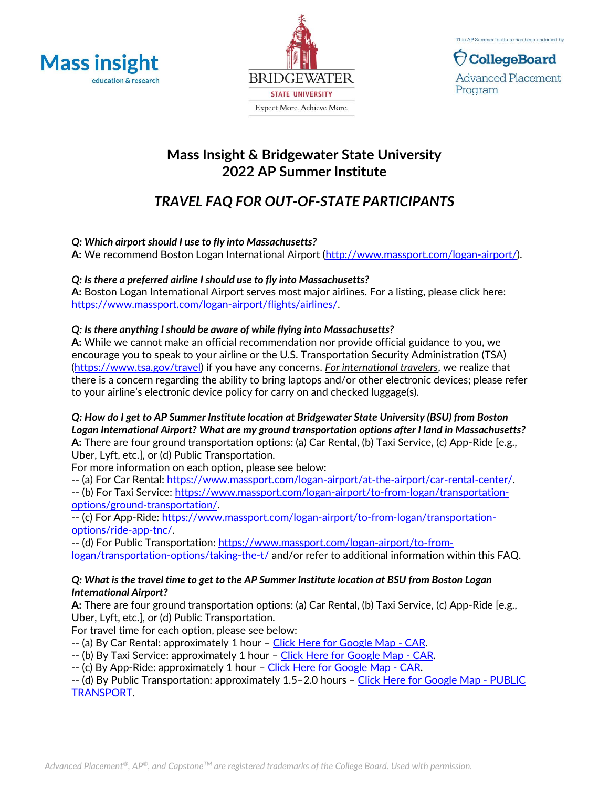





# **Mass Insight & Bridgewater State University 2022 AP Summer Institute**

# *TRAVEL FAQ FOR OUT-OF-STATE PARTICIPANTS*

# *Q: Which airport should I use to fly into Massachusetts?*

**A:** We recommend Boston Logan International Airport [\(http://www.massport.com/logan-airport/\)](http://www.massport.com/logan-airport/).

# *Q: Is there a preferred airline I should use to fly into Massachusetts?*

**A:** Boston Logan International Airport serves most major airlines. For a listing, please click here: [https://www.massport.com/logan-airport/flights/airlines/.](https://www.massport.com/logan-airport/flights/airlines/) 

# *Q: Is there anything I should be aware of while flying into Massachusetts?*

**A:** While we cannot make an official recommendation nor provide official guidance to you, we encourage you to speak to your airline or the U.S. Transportation Security Administration (TSA) [\(https://www.tsa.gov/travel\)](https://www.tsa.gov/travel) if you have any concerns. *For international travelers*, we realize that there is a concern regarding the ability to bring laptops and/or other electronic devices; please refer to your airline's electronic device policy for carry on and checked luggage(s).

*Q: How do I get to AP Summer Institute location at Bridgewater State University (BSU) from Boston Logan International Airport? What are my ground transportation options after I land in Massachusetts?* **A:** There are four ground transportation options: (a) Car Rental, (b) Taxi Service, (c) App-Ride [e.g., Uber, Lyft, etc.], or (d) Public Transportation.

For more information on each option, please see below:

-- (a) For Car Rental: [https://www.massport.com/logan-airport/at-the-airport/car-rental-center/.](https://www.massport.com/logan-airport/at-the-airport/car-rental-center/)

-- (b) For Taxi Service: [https://www.massport.com/logan-airport/to-from-logan/transportation](https://www.massport.com/logan-airport/to-from-logan/transportation-options/ground-transportation/)[options/ground-transportation/.](https://www.massport.com/logan-airport/to-from-logan/transportation-options/ground-transportation/)

-- (c) For App-Ride: [https://www.massport.com/logan-airport/to-from-logan/transportation](https://www.massport.com/logan-airport/to-from-logan/transportation-options/ride-app-tnc/)[options/ride-app-tnc/.](https://www.massport.com/logan-airport/to-from-logan/transportation-options/ride-app-tnc/)

-- (d) For Public Transportation: [https://www.massport.com/logan-airport/to-from](https://www.massport.com/logan-airport/to-from-logan/transportation-options/taking-the-t/)[logan/transportation-options/taking-the-t/](https://www.massport.com/logan-airport/to-from-logan/transportation-options/taking-the-t/) and/or refer to additional information within this FAQ.

# *Q: What is the travel time to get to the AP Summer Institute location at BSU from Boston Logan International Airport?*

**A:** There are four ground transportation options: (a) Car Rental, (b) Taxi Service, (c) App-Ride [e.g., Uber, Lyft, etc.], or (d) Public Transportation.

For travel time for each option, please see below:

-- (a) By Car Rental: approximately 1 hour – [Click Here for Google Map -](https://www.google.com/maps/dir/Boston+Logan+International+Airport+(BOS),+1+Harborside+Dr,+Boston,+MA+02128/Bridgewater+State+University,+Summer+Street,+Bridgewater,+MA/@42.1791476,-71.3867184,10z/data=!3m1!4b1!4m14!4m13!1m5!1m1!1s0x89e37014d5da4937:0xc9394c31f2d5144!2m2!1d-71.0095602!2d42.3656132!1m5!1m1!1s0x89e491b20025d12f:0xe25cb8c26289d022!2m2!1d-70.9660014!2d41.9877398!3e0?hl=en) CAR.

- -- (b) By Taxi Service: approximately 1 hour [Click Here for Google Map -](https://www.google.com/maps/dir/Boston+Logan+International+Airport+(BOS),+1+Harborside+Dr,+Boston,+MA+02128/Bridgewater+State+University,+Summer+Street,+Bridgewater,+MA/@42.1791476,-71.3867184,10z/data=!3m1!4b1!4m14!4m13!1m5!1m1!1s0x89e37014d5da4937:0xc9394c31f2d5144!2m2!1d-71.0095602!2d42.3656132!1m5!1m1!1s0x89e491b20025d12f:0xe25cb8c26289d022!2m2!1d-70.9660014!2d41.9877398!3e0?hl=en) CAR.
- -- (c) By App-Ride: approximately 1 hour [Click Here for Google Map -](https://www.google.com/maps/dir/Boston+Logan+International+Airport+(BOS),+1+Harborside+Dr,+Boston,+MA+02128/Bridgewater+State+University,+Summer+Street,+Bridgewater,+MA/@42.1791476,-71.3867184,10z/data=!3m1!4b1!4m14!4m13!1m5!1m1!1s0x89e37014d5da4937:0xc9394c31f2d5144!2m2!1d-71.0095602!2d42.3656132!1m5!1m1!1s0x89e491b20025d12f:0xe25cb8c26289d022!2m2!1d-70.9660014!2d41.9877398!3e0?hl=en) CAR.

-- (d) By Public Transportation: approximately 1.5–2.0 hours – [Click Here for Google Map -](https://www.google.com/maps/dir/Boston+Logan+International+Airport+(BOS),+1+Harborside+Dr,+Boston,+MA+02128/Bridgewater+State+University,+Summer+Street,+Bridgewater,+MA/@42.1775206,-71.152759,11z/data=!3m1!4b1!4m14!4m13!1m5!1m1!1s0x89e37014d5da4937:0xc9394c31f2d5144!2m2!1d-71.0095602!2d42.3656132!1m5!1m1!1s0x89e491b20025d12f:0xe25cb8c26289d022!2m2!1d-70.9660014!2d41.9877398!3e3?hl=en) PUBLIC [TRANSPORT.](https://www.google.com/maps/dir/Boston+Logan+International+Airport+(BOS),+1+Harborside+Dr,+Boston,+MA+02128/Bridgewater+State+University,+Summer+Street,+Bridgewater,+MA/@42.1775206,-71.152759,11z/data=!3m1!4b1!4m14!4m13!1m5!1m1!1s0x89e37014d5da4937:0xc9394c31f2d5144!2m2!1d-71.0095602!2d42.3656132!1m5!1m1!1s0x89e491b20025d12f:0xe25cb8c26289d022!2m2!1d-70.9660014!2d41.9877398!3e3?hl=en)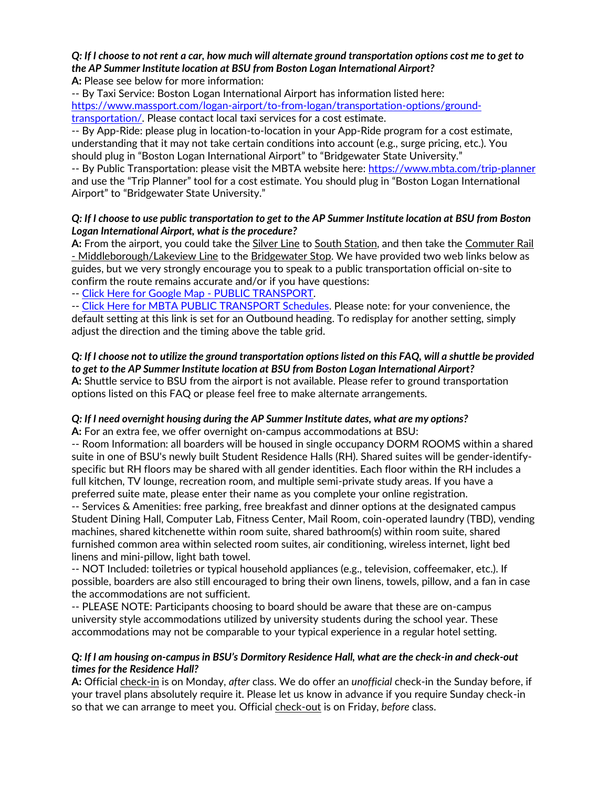#### *Q: If I choose to not rent a car, how much will alternate ground transportation options cost me to get to the AP Summer Institute location at BSU from Boston Logan International Airport?* **A:** Please see below for more information:

-- By Taxi Service: Boston Logan International Airport has information listed here: [https://www.massport.com/logan-airport/to-from-logan/transportation-options/ground](https://www.massport.com/logan-airport/to-from-logan/transportation-options/ground-transportation/)[transportation/.](https://www.massport.com/logan-airport/to-from-logan/transportation-options/ground-transportation/) Please contact local taxi services for a cost estimate.

-- By App-Ride: please plug in location-to-location in your App-Ride program for a cost estimate, understanding that it may not take certain conditions into account (e.g., surge pricing, etc.). You should plug in "Boston Logan International Airport" to "Bridgewater State University."

-- By Public Transportation: please visit the MBTA website here:<https://www.mbta.com/trip-planner> and use the "Trip Planner" tool for a cost estimate. You should plug in "Boston Logan International Airport" to "Bridgewater State University."

# *Q: If I choose to use public transportation to get to the AP Summer Institute location at BSU from Boston Logan International Airport, what is the procedure?*

**A:** From the airport, you could take the Silver Line to South Station, and then take the Commuter Rail - Middleborough/Lakeview Line to the Bridgewater Stop. We have provided two web links below as guides, but we very strongly encourage you to speak to a public transportation official on-site to confirm the route remains accurate and/or if you have questions:

-- [Click Here for Google Map -](https://www.google.com/maps/dir/Boston+Logan+International+Airport+(BOS),+1+Harborside+Dr,+Boston,+MA+02128/Bridgewater+State+University,+Summer+Street,+Bridgewater,+MA/@42.1775206,-71.152759,11z/data=!3m1!4b1!4m14!4m13!1m5!1m1!1s0x89e37014d5da4937:0xc9394c31f2d5144!2m2!1d-71.0095602!2d42.3656132!1m5!1m1!1s0x89e491b20025d12f:0xe25cb8c26289d022!2m2!1d-70.9660014!2d41.9877398!3e3?hl=en) PUBLIC TRANSPORT.

-- [Click Here for MBTA PUBLIC TRANSPORT Schedules.](http://www.mbta.com/schedules_and_maps/rail/lines/?route=MIDLBORO&direction=O&timing=U&RedisplayTime=Redisplay+Time) Please note: for your convenience, the default setting at this link is set for an Outbound heading. To redisplay for another setting, simply adjust the direction and the timing above the table grid.

### *Q: If I choose not to utilize the ground transportation options listed on this FAQ, will a shuttle be provided to get to the AP Summer Institute location at BSU from Boston Logan International Airport?*

**A:** Shuttle service to BSU from the airport is not available. Please refer to ground transportation options listed on this FAQ or please feel free to make alternate arrangements.

# *Q: If I need overnight housing during the AP Summer Institute dates, what are my options?*

**A:** For an extra fee, we offer overnight on-campus accommodations at BSU:

-- Room Information: all boarders will be housed in single occupancy DORM ROOMS within a shared suite in one of BSU's newly built Student Residence Halls (RH). Shared suites will be gender-identifyspecific but RH floors may be shared with all gender identities. Each floor within the RH includes a full kitchen, TV lounge, recreation room, and multiple semi-private study areas. If you have a preferred suite mate, please enter their name as you complete your online registration.

-- Services & Amenities: free parking, free breakfast and dinner options at the designated campus Student Dining Hall, Computer Lab, Fitness Center, Mail Room, coin-operated laundry (TBD), vending machines, shared kitchenette within room suite, shared bathroom(s) within room suite, shared furnished common area within selected room suites, air conditioning, wireless internet, light bed linens and mini-pillow, light bath towel.

-- NOT Included: toiletries or typical household appliances (e.g., television, coffeemaker, etc.). If possible, boarders are also still encouraged to bring their own linens, towels, pillow, and a fan in case the accommodations are not sufficient.

-- PLEASE NOTE: Participants choosing to board should be aware that these are on-campus university style accommodations utilized by university students during the school year. These accommodations may not be comparable to your typical experience in a regular hotel setting.

# *Q: If I am housing on-campus in BSU's Dormitory Residence Hall, what are the check-in and check-out times for the Residence Hall?*

A: Official check-in is on Monday, *after* class. We do offer an *unofficial* check-in the Sunday before, if your travel plans absolutely require it. Please let us know in advance if you require Sunday check-in so that we can arrange to meet you. Official check-out is on Friday, *before* class.